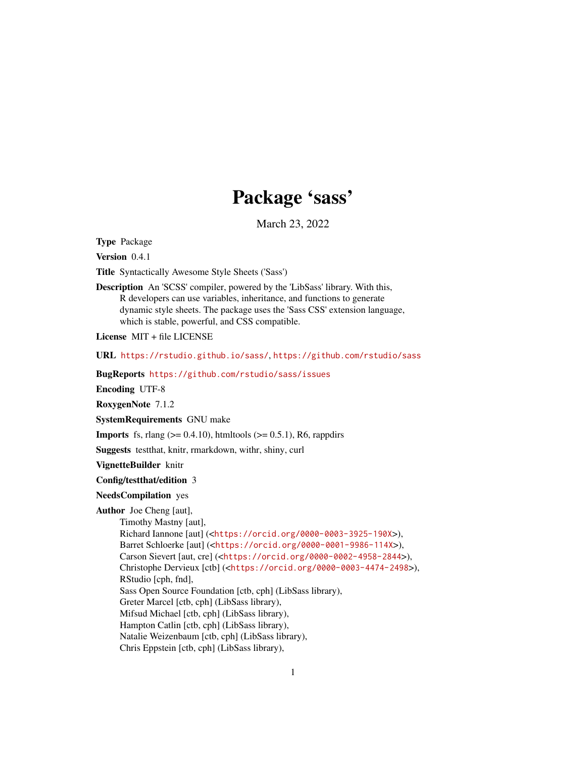## Package 'sass'

March 23, 2022

<span id="page-0-0"></span>Type Package

Version 0.4.1

Title Syntactically Awesome Style Sheets ('Sass')

Description An 'SCSS' compiler, powered by the 'LibSass' library. With this, R developers can use variables, inheritance, and functions to generate dynamic style sheets. The package uses the 'Sass CSS' extension language, which is stable, powerful, and CSS compatible.

License MIT + file LICENSE

URL <https://rstudio.github.io/sass/>, <https://github.com/rstudio/sass>

BugReports <https://github.com/rstudio/sass/issues>

Encoding UTF-8

RoxygenNote 7.1.2

SystemRequirements GNU make

**Imports** fs, rlang  $(>= 0.4.10)$ , htmltools  $(>= 0.5.1)$ , R6, rappdirs

Suggests testthat, knitr, rmarkdown, withr, shiny, curl

VignetteBuilder knitr

Config/testthat/edition 3

NeedsCompilation yes

Author Joe Cheng [aut],

Timothy Mastny [aut], Richard Iannone [aut] (<<https://orcid.org/0000-0003-3925-190X>>), Barret Schloerke [aut] (<<https://orcid.org/0000-0001-9986-114X>>), Carson Sievert [aut, cre] (<<https://orcid.org/0000-0002-4958-2844>>), Christophe Dervieux [ctb] (<<https://orcid.org/0000-0003-4474-2498>>), RStudio [cph, fnd], Sass Open Source Foundation [ctb, cph] (LibSass library), Greter Marcel [ctb, cph] (LibSass library), Mifsud Michael [ctb, cph] (LibSass library), Hampton Catlin [ctb, cph] (LibSass library), Natalie Weizenbaum [ctb, cph] (LibSass library), Chris Eppstein [ctb, cph] (LibSass library),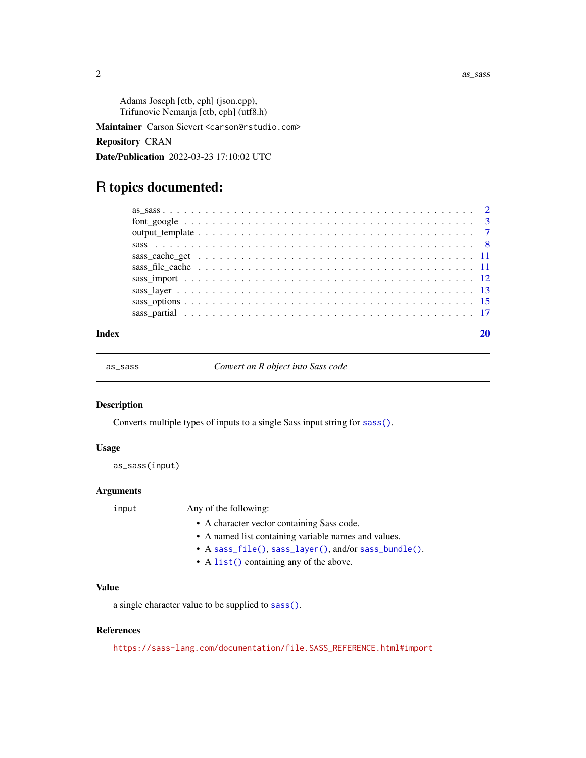<span id="page-1-0"></span> $2 \cos \theta$  as  $\sin \theta$  as  $\sin \theta$  as  $\sin \theta$  as  $\sin \theta$  as  $\sin \theta$  as  $\sin \theta$  as  $\sin \theta$  as  $\sin \theta$  as  $\sin \theta$  as  $\sin \theta$  as  $\sin \theta$  as  $\sin \theta$  as  $\sin \theta$  as  $\sin \theta$  as  $\sin \theta$  as  $\sin \theta$  as  $\sin \theta$  as  $\sin \theta$  as  $\sin \theta$  as  $\sin \theta$  as  $\sin \theta$  as

Adams Joseph [ctb, cph] (json.cpp), Trifunovic Nemanja [ctb, cph] (utf8.h)

Maintainer Carson Sievert <carson@rstudio.com>

Repository CRAN

Date/Publication 2022-03-23 17:10:02 UTC

## R topics documented:

#### $\bf 1$ ndex  $\bf 20$  $\bf 20$

<span id="page-1-1"></span>

as\_sass *Convert an R object into Sass code*

## Description

Converts multiple types of inputs to a single Sass input string for [sass\(\)](#page-7-1).

## Usage

as\_sass(input)

## Arguments

input Any of the following:

- A character vector containing Sass code.
- A named list containing variable names and values.
- A [sass\\_file\(\)](#page-11-1), [sass\\_layer\(\)](#page-12-1), and/or [sass\\_bundle\(\)](#page-12-2).
- A [list\(\)](#page-0-0) containing any of the above.

## Value

a single character value to be supplied to [sass\(\)](#page-7-1).

## References

[https://sass-lang.com/documentation/file.SASS\\_REFERENCE.html#import](https://sass-lang.com/documentation/file.SASS_REFERENCE.html#import)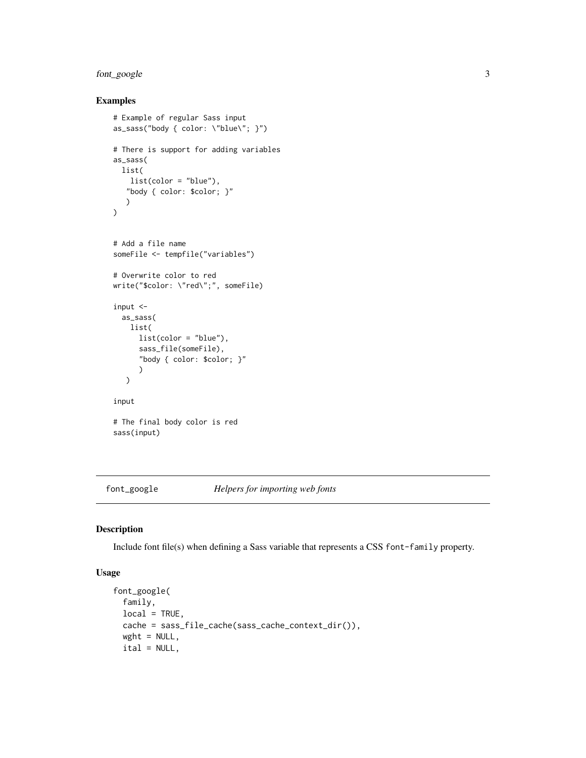## <span id="page-2-0"></span>font\_google 3

## Examples

```
# Example of regular Sass input
as_sass("body { color: \"blue\"; }")
# There is support for adding variables
as_sass(
 list(
   list(color = "blue"),
   "body { color: $color; }"
   )
)
# Add a file name
someFile <- tempfile("variables")
# Overwrite color to red
write("$color: \"red\";", someFile)
input <-
  as_sass(
   list(
      list(color = "blue"),
      sass_file(someFile),
      "body { color: $color; }"
      )
  \lambdainput
# The final body color is red
sass(input)
```
font\_google *Helpers for importing web fonts*

## <span id="page-2-1"></span>Description

Include font file(s) when defining a Sass variable that represents a CSS font-family property.

## Usage

```
font_google(
 family,
 local = TRUE,cache = sass_file_cache(sass_cache_context_dir()),
 wght = NULL,ital = NULL,
```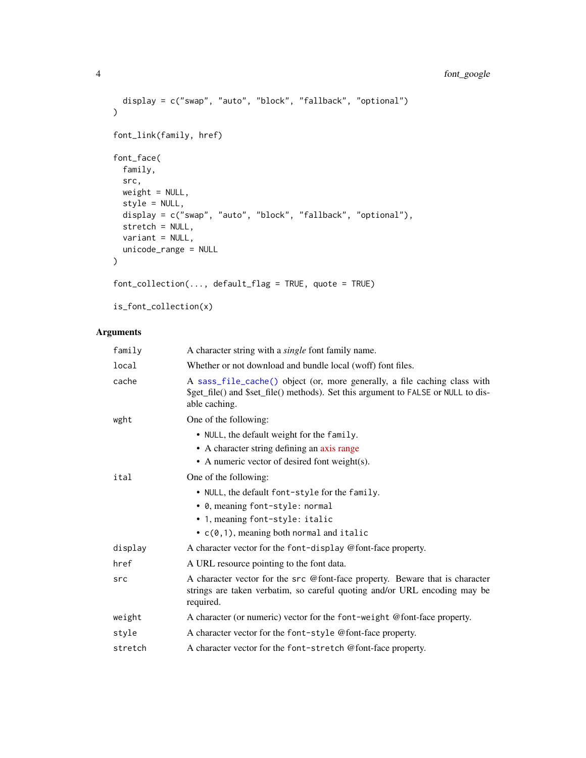```
display = c("swap", "auto", "block", "fallback", "optional")
\lambdafont_link(family, href)
font_face(
 family,
 src,
 weight = NULL,style = NULL,
 display = c("swap", "auto", "block", "fallback", "optional"),
 stretch = NULL,
 variant = NULL,
 unicode_range = NULL
\mathcal{L}font_collection(..., default_flag = TRUE, quote = TRUE)
```

```
is_font_collection(x)
```

| family  | A character string with a <i>single</i> font family name.                                                                                                                        |
|---------|----------------------------------------------------------------------------------------------------------------------------------------------------------------------------------|
| local   | Whether or not download and bundle local (woff) font files.                                                                                                                      |
| cache   | A sass_file_cache() object (or, more generally, a file caching class with<br>\$get_file() and \$set_file() methods). Set this argument to FALSE or NULL to dis-<br>able caching. |
| wght    | One of the following:                                                                                                                                                            |
|         | • NULL, the default weight for the family.                                                                                                                                       |
|         | • A character string defining an axis range                                                                                                                                      |
|         | • A numeric vector of desired font weight(s).                                                                                                                                    |
| ital    | One of the following:                                                                                                                                                            |
|         | • NULL, the default font-style for the family.                                                                                                                                   |
|         | • 0, meaning font-style: normal                                                                                                                                                  |
|         | • 1, meaning font-style: italic                                                                                                                                                  |
|         | $\bullet$ c(0,1), meaning both normal and italic                                                                                                                                 |
| display | A character vector for the font-display @font-face property.                                                                                                                     |
| href    | A URL resource pointing to the font data.                                                                                                                                        |
| src     | A character vector for the src @font-face property. Beware that is character<br>strings are taken verbatim, so careful quoting and/or URL encoding may be<br>required.           |
| weight  | A character (or numeric) vector for the font-weight @font-face property.                                                                                                         |
| style   | A character vector for the font-style @font-face property.                                                                                                                       |
| stretch | A character vector for the font-stretch @font-face property.                                                                                                                     |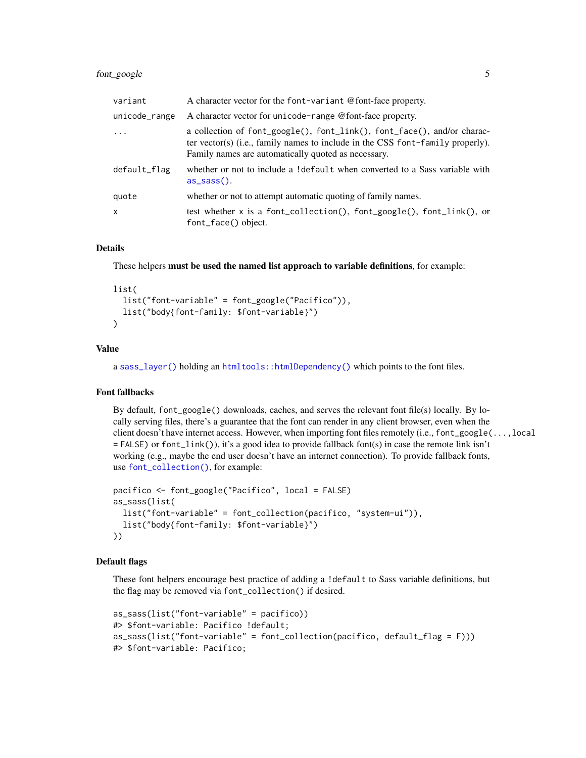## <span id="page-4-0"></span>font\_google 5

| variant       | A character vector for the font-variant @font-face property.                                                                                                                                                     |
|---------------|------------------------------------------------------------------------------------------------------------------------------------------------------------------------------------------------------------------|
| unicode_range | A character vector for unicode-range @font-face property.                                                                                                                                                        |
| $\ddots$ .    | a collection of font_google(), font_link(), font_face(), and/or charac-<br>ter vector(s) (i.e., family names to include in the CSS font-family properly).<br>Family names are automatically quoted as necessary. |
| default_flag  | whether or not to include a ! default when converted to a Sass variable with<br>$as\_sass()$ .                                                                                                                   |
| quote         | whether or not to attempt automatic quoting of family names.                                                                                                                                                     |
| X             | test whether x is a font_collection(), font_google(), font_link(), or<br>font_face() object.                                                                                                                     |

## Details

These helpers must be used the named list approach to variable definitions, for example:

## list(

```
list("font-variable" = font_google("Pacifico")),
 list("body{font-family: $font-variable}")
\lambda
```
#### Value

a [sass\\_layer\(\)](#page-12-1) holding an [htmltools::htmlDependency\(\)](#page-0-0) which points to the font files.

## Font fallbacks

By default, font\_google() downloads, caches, and serves the relevant font file(s) locally. By locally serving files, there's a guarantee that the font can render in any client browser, even when the client doesn't have internet access. However, when importing font files remotely (i.e., font\_google(...,local = FALSE) or font\_link()), it's a good idea to provide fallback font(s) in case the remote link isn't working (e.g., maybe the end user doesn't have an internet connection). To provide fallback fonts, use [font\\_collection\(\)](#page-2-1), for example:

```
pacifico <- font_google("Pacifico", local = FALSE)
as_sass(list(
 list("font-variable" = font_collection(pacifico, "system-ui")),
 list("body{font-family: $font-variable}")
))
```
## Default flags

These font helpers encourage best practice of adding a !default to Sass variable definitions, but the flag may be removed via font\_collection() if desired.

```
as_sass(list("font-variable" = pacifico))
#> $font-variable: Pacifico !default;
as_sass(list("font-variable" = font_collection(pacifico, default_flag = F)))
#> $font-variable: Pacifico;
```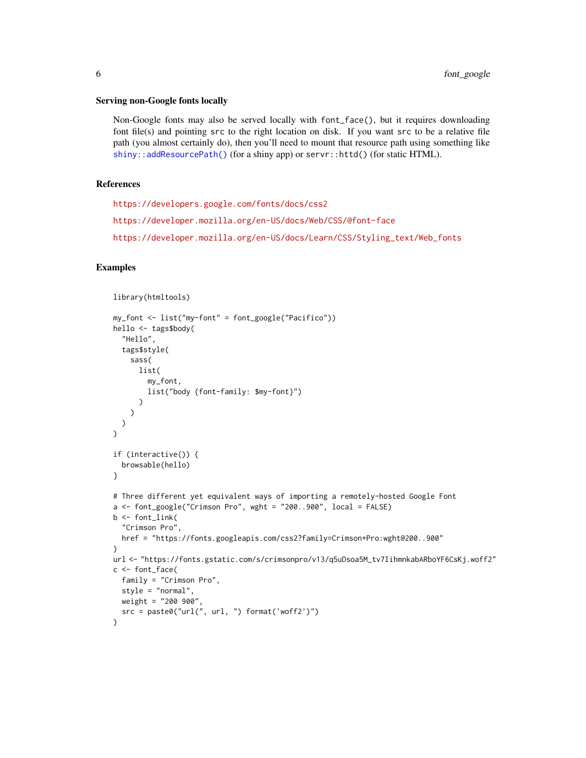#### <span id="page-5-0"></span>Serving non-Google fonts locally

Non-Google fonts may also be served locally with font\_face(), but it requires downloading font file(s) and pointing src to the right location on disk. If you want src to be a relative file path (you almost certainly do), then you'll need to mount that resource path using something like [shiny::addResourcePath\(\)](#page-0-0) (for a shiny app) or servr::httd() (for static HTML).

#### References

<https://developers.google.com/fonts/docs/css2> <https://developer.mozilla.org/en-US/docs/Web/CSS/@font-face> [https://developer.mozilla.org/en-US/docs/Learn/CSS/Styling\\_text/Web\\_fonts](https://developer.mozilla.org/en-US/docs/Learn/CSS/Styling_text/Web_fonts)

```
library(htmltools)
my_font <- list("my-font" = font_google("Pacifico"))
hello <- tags$body(
  "Hello",
  tags$style(
    sass(
      list(
        my_font,
        list("body {font-family: $my-font}")
      )
    \lambda)
)
if (interactive()) {
  browsable(hello)
}
# Three different yet equivalent ways of importing a remotely-hosted Google Font
a \leftarrow font_google("Crimson Pro", wght = "200..900", local = FALSE)
b \leftarrow font_link(
  "Crimson Pro",
  href = "https://fonts.googleapis.com/css2?family=Crimson+Pro:wght@200..900"
\lambdaurl <- "https://fonts.gstatic.com/s/crimsonpro/v13/q5uDsoa5M_tv7IihmnkabARboYF6CsKj.woff2"
c <- font_face(
  family = "Crimson Pro",
  style = "normal",
  weight = "200 900",
  src = paste0("url(", url, ") format('woff2')")
)
```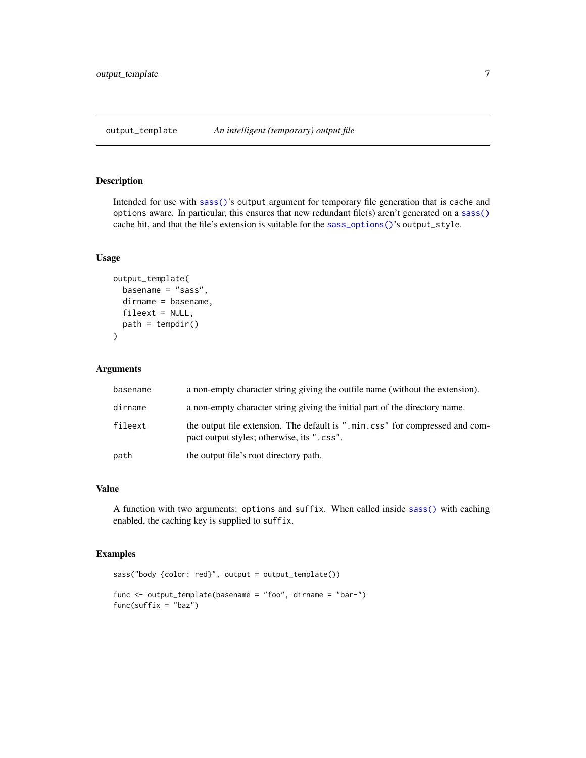<span id="page-6-1"></span><span id="page-6-0"></span>output\_template *An intelligent (temporary) output file*

#### Description

Intended for use with [sass\(\)](#page-7-1)'s output argument for temporary file generation that is cache and options aware. In particular, this ensures that new redundant file(s) aren't generated on a [sass\(\)](#page-7-1) cache hit, and that the file's extension is suitable for the [sass\\_options\(\)](#page-14-1)'s output\_style.

## Usage

```
output_template(
  basename = "sass",
  dirname = basename,
  fileext = NULL,
  path = tempdir()\mathcal{L}
```
## Arguments

| basename | a non-empty character string giving the outfile name (without the extension).                                              |
|----------|----------------------------------------------------------------------------------------------------------------------------|
| dirname  | a non-empty character string giving the initial part of the directory name.                                                |
| fileext  | the output file extension. The default is ".min.css" for compressed and com-<br>pact output styles; otherwise, its ".css". |
| path     | the output file's root directory path.                                                                                     |

## Value

A function with two arguments: options and suffix. When called inside [sass\(\)](#page-7-1) with caching enabled, the caching key is supplied to suffix.

```
sass("body {color: red}", output = output_template())
func <- output_template(basename = "foo", dirname = "bar-")
func(suffix = "baz")
```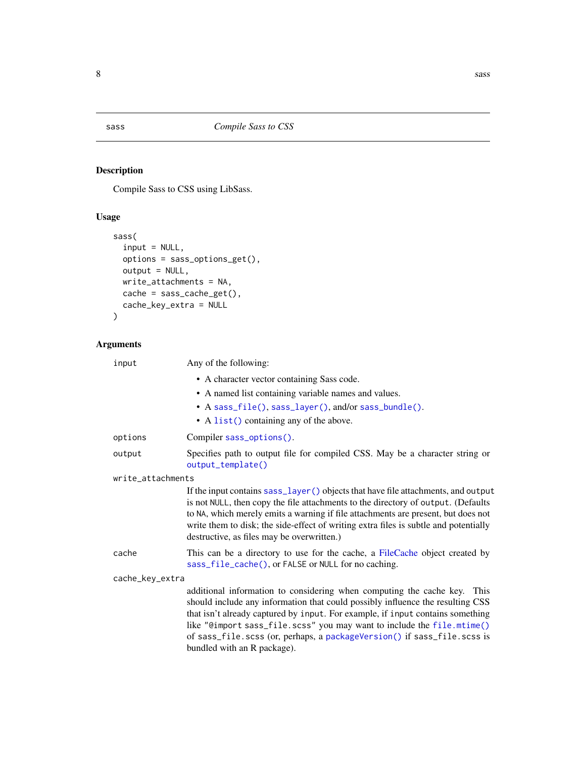<span id="page-7-1"></span><span id="page-7-0"></span>

## Description

Compile Sass to CSS using LibSass.

## Usage

```
sass(
  input = NULL,options = sass_options_get(),
 output = NULL,write_attachments = NA,
 cache = sass_cache_get(),
 cache_key_extra = NULL
\mathcal{L}
```

| input             | Any of the following:                                                                                                                                                                                                                                                                                                                                                                                                               |
|-------------------|-------------------------------------------------------------------------------------------------------------------------------------------------------------------------------------------------------------------------------------------------------------------------------------------------------------------------------------------------------------------------------------------------------------------------------------|
|                   | • A character vector containing Sass code.                                                                                                                                                                                                                                                                                                                                                                                          |
|                   | • A named list containing variable names and values.                                                                                                                                                                                                                                                                                                                                                                                |
|                   | • A sass_file(), sass_layer(), and/or sass_bundle().                                                                                                                                                                                                                                                                                                                                                                                |
|                   | • A list() containing any of the above.                                                                                                                                                                                                                                                                                                                                                                                             |
| options           | Compiler sass_options().                                                                                                                                                                                                                                                                                                                                                                                                            |
| output            | Specifies path to output file for compiled CSS. May be a character string or<br>output_template()                                                                                                                                                                                                                                                                                                                                   |
| write_attachments |                                                                                                                                                                                                                                                                                                                                                                                                                                     |
|                   | If the input contains sass_layer() objects that have file attachments, and output<br>is not NULL, then copy the file attachments to the directory of output. (Defaults<br>to NA, which merely emits a warning if file attachments are present, but does not<br>write them to disk; the side-effect of writing extra files is subtle and potentially<br>destructive, as files may be overwritten.)                                   |
| cache             | This can be a directory to use for the cache, a FileCache object created by<br>sass_file_cache(), or FALSE or NULL for no caching.                                                                                                                                                                                                                                                                                                  |
| cache_key_extra   |                                                                                                                                                                                                                                                                                                                                                                                                                                     |
|                   | additional information to considering when computing the cache key.<br>This<br>should include any information that could possibly influence the resulting CSS<br>that isn't already captured by input. For example, if input contains something<br>like "@import sass_file.scss" you may want to include the file.mtime()<br>of sass_file.scss (or, perhaps, a packageVersion() if sass_file.scss is<br>bundled with an R package). |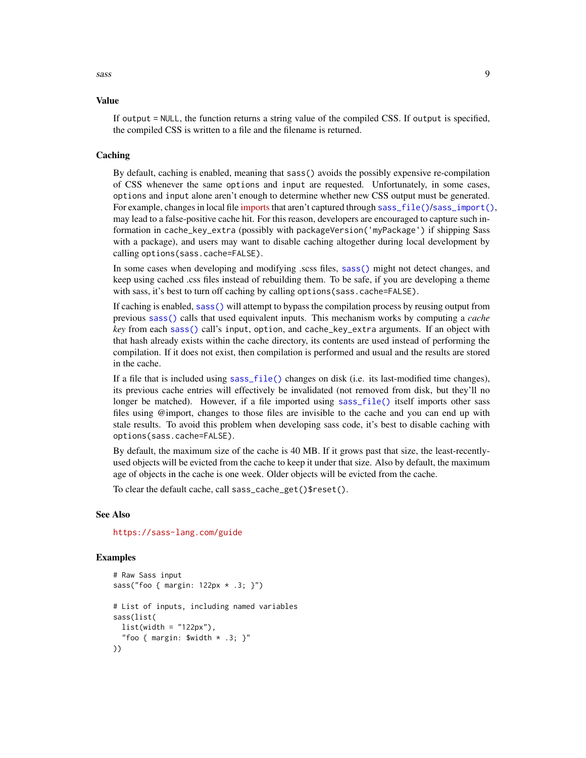<span id="page-8-0"></span>sass and the same of the same of the same of the same of the same of the same of the same of the same of the same of the same of the same of the same of the same of the same of the same of the same of the same of the same

#### Value

If output = NULL, the function returns a string value of the compiled CSS. If output is specified, the compiled CSS is written to a file and the filename is returned.

#### Caching

By default, caching is enabled, meaning that sass() avoids the possibly expensive re-compilation of CSS whenever the same options and input are requested. Unfortunately, in some cases, options and input alone aren't enough to determine whether new CSS output must be generated. For example, changes in local file [imports](https://sass-lang.com/documentation/at-rules/import) that aren't captured through sass  $file()$ [sass\\_import\(\)](#page-11-2), may lead to a false-positive cache hit. For this reason, developers are encouraged to capture such information in cache\_key\_extra (possibly with packageVersion('myPackage') if shipping Sass with a package), and users may want to disable caching altogether during local development by calling options(sass.cache=FALSE).

In some cases when developing and modifying .scss files, [sass\(\)](#page-7-1) might not detect changes, and keep using cached .css files instead of rebuilding them. To be safe, if you are developing a theme with sass, it's best to turn off caching by calling options (sass.cache=FALSE).

If caching is enabled, [sass\(\)](#page-7-1) will attempt to bypass the compilation process by reusing output from previous [sass\(\)](#page-7-1) calls that used equivalent inputs. This mechanism works by computing a *cache key* from each [sass\(\)](#page-7-1) call's input, option, and cache\_key\_extra arguments. If an object with that hash already exists within the cache directory, its contents are used instead of performing the compilation. If it does not exist, then compilation is performed and usual and the results are stored in the cache.

If a file that is included using [sass\\_file\(\)](#page-11-1) changes on disk (i.e. its last-modified time changes), its previous cache entries will effectively be invalidated (not removed from disk, but they'll no longer be matched). However, if a file imported using [sass\\_file\(\)](#page-11-1) itself imports other sass files using @import, changes to those files are invisible to the cache and you can end up with stale results. To avoid this problem when developing sass code, it's best to disable caching with options(sass.cache=FALSE).

By default, the maximum size of the cache is 40 MB. If it grows past that size, the least-recentlyused objects will be evicted from the cache to keep it under that size. Also by default, the maximum age of objects in the cache is one week. Older objects will be evicted from the cache.

To clear the default cache, call sass\_cache\_get()\$reset().

#### See Also

<https://sass-lang.com/guide>

```
# Raw Sass input
sass("foo { margin: 122px * .3; }")
# List of inputs, including named variables
sass(list(
 list(width = "122px"),
  "foo { margin: $width * .3; }"
))
```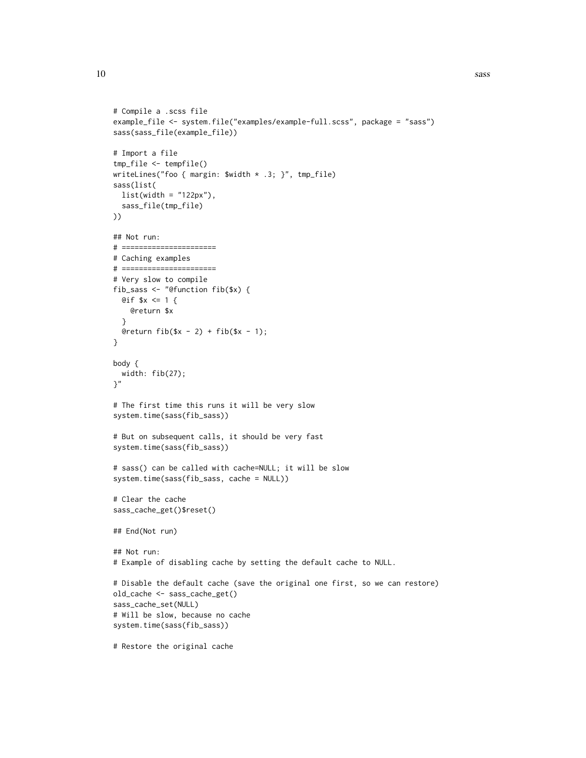```
# Compile a .scss file
example_file <- system.file("examples/example-full.scss", package = "sass")
sass(sass_file(example_file))
# Import a file
tmp_file <- tempfile()
writeLines("foo { margin: $width * .3; }", tmp_file)
sass(list(
 list(width = "122px"),
  sass_file(tmp_file)
))
## Not run:
# ======================
# Caching examples
# ======================
# Very slow to compile
fib_sass <- "@function fib($x) {
 Qif $x <= 1 {
   @return $x
  }
  @return fib(\$x - 2) + fib(\$x - 1);}
body {
  width: fib(27);
\gamma"
# The first time this runs it will be very slow
system.time(sass(fib_sass))
# But on subsequent calls, it should be very fast
system.time(sass(fib_sass))
# sass() can be called with cache=NULL; it will be slow
system.time(sass(fib_sass, cache = NULL))
# Clear the cache
sass_cache_get()$reset()
## End(Not run)
## Not run:
# Example of disabling cache by setting the default cache to NULL.
# Disable the default cache (save the original one first, so we can restore)
old_cache <- sass_cache_get()
sass_cache_set(NULL)
# Will be slow, because no cache
system.time(sass(fib_sass))
# Restore the original cache
```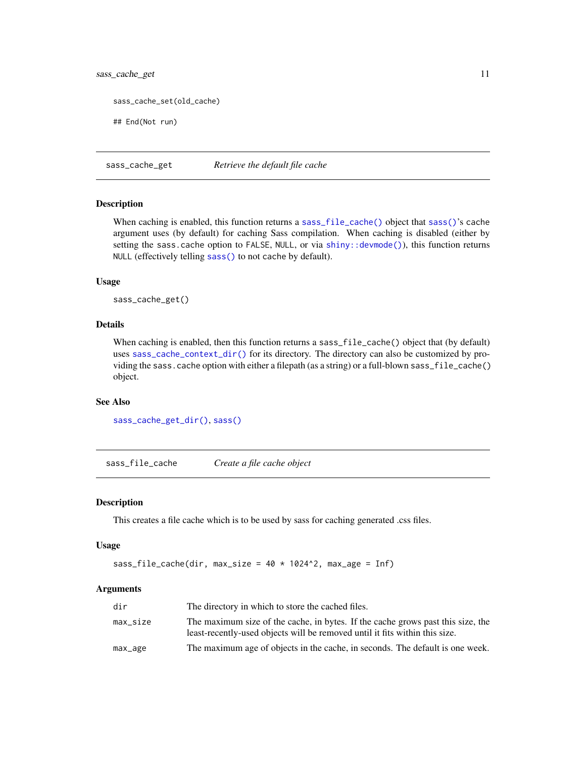## <span id="page-10-0"></span>sass\_cache\_get 11

sass\_cache\_set(old\_cache)

## End(Not run)

<span id="page-10-2"></span>sass\_cache\_get *Retrieve the default file cache*

#### Description

When caching is enabled, this function returns a [sass\\_file\\_cache\(\)](#page-10-1) object that [sass\(\)](#page-7-1)'s cache argument uses (by default) for caching Sass compilation. When caching is disabled (either by setting the sass.cache option to FALSE, NULL, or via [shiny::devmode\(\)](#page-0-0)), this function returns NULL (effectively telling [sass\(\)](#page-7-1) to not cache by default).

#### Usage

sass\_cache\_get()

#### Details

When caching is enabled, then this function returns a sass\_file\_cache() object that (by default) uses [sass\\_cache\\_context\\_dir\(\)](#page-0-0) for its directory. The directory can also be customized by providing the sass.cache option with either a filepath (as a string) or a full-blown sass\_file\_cache() object.

#### See Also

[sass\\_cache\\_get\\_dir\(\)](#page-0-0), [sass\(\)](#page-7-1)

<span id="page-10-1"></span>sass\_file\_cache *Create a file cache object*

#### Description

This creates a file cache which is to be used by sass for caching generated .css files.

#### Usage

```
sass_file_cache(dir, max_size = 40 \times 1024^2, max_age = Inf)
```

| dir      | The directory in which to store the cached files.                                                                                                              |
|----------|----------------------------------------------------------------------------------------------------------------------------------------------------------------|
| max_size | The maximum size of the cache, in bytes. If the cache grows past this size, the<br>least-recently-used objects will be removed until it fits within this size. |
| max_age  | The maximum age of objects in the cache, in seconds. The default is one week.                                                                                  |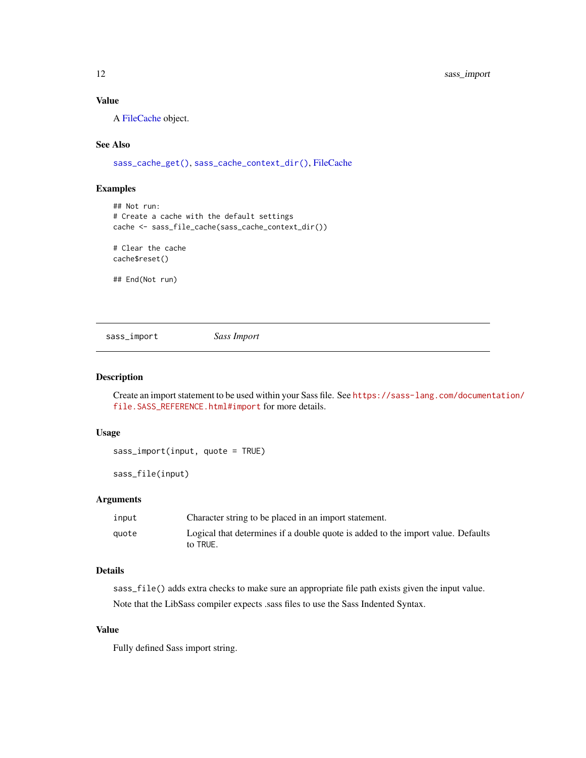## <span id="page-11-0"></span>Value

A [FileCache](#page-0-0) object.

## See Also

[sass\\_cache\\_get\(\)](#page-10-2), [sass\\_cache\\_context\\_dir\(\)](#page-0-0), [FileCache](#page-0-0)

## Examples

```
## Not run:
# Create a cache with the default settings
cache <- sass_file_cache(sass_cache_context_dir())
# Clear the cache
```
cache\$reset()

## End(Not run)

<span id="page-11-2"></span>sass\_import *Sass Import*

## <span id="page-11-1"></span>Description

Create an import statement to be used within your Sass file. See [https://sass-lang.com/documen](https://sass-lang.com/documentation/file.SASS_REFERENCE.html#import)tation/ [file.SASS\\_REFERENCE.html#import](https://sass-lang.com/documentation/file.SASS_REFERENCE.html#import) for more details.

## Usage

sass\_import(input, quote = TRUE)

sass\_file(input)

## Arguments

| input | Character string to be placed in an import statement.                                        |
|-------|----------------------------------------------------------------------------------------------|
| auote | Logical that determines if a double quote is added to the import value. Defaults<br>to TRUE. |

## Details

sass\_file() adds extra checks to make sure an appropriate file path exists given the input value. Note that the LibSass compiler expects .sass files to use the Sass Indented Syntax.

#### Value

Fully defined Sass import string.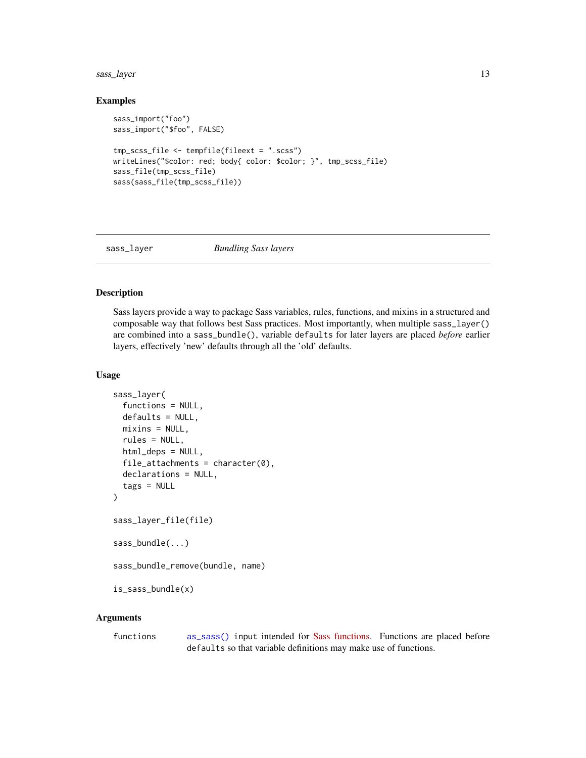## <span id="page-12-0"></span>sass\_layer 13

#### Examples

```
sass_import("foo")
sass_import("$foo", FALSE)
tmp_scss_file <- tempfile(fileext = ".scss")
writeLines("$color: red; body{ color: $color; }", tmp_scss_file)
sass_file(tmp_scss_file)
sass(sass_file(tmp_scss_file))
```
<span id="page-12-1"></span>

#### sass\_layer *Bundling Sass layers*

#### <span id="page-12-2"></span>Description

Sass layers provide a way to package Sass variables, rules, functions, and mixins in a structured and composable way that follows best Sass practices. Most importantly, when multiple sass\_layer() are combined into a sass\_bundle(), variable defaults for later layers are placed *before* earlier layers, effectively 'new' defaults through all the 'old' defaults.

#### Usage

```
sass_layer(
  functions = NULL,
  defaults = NULL,mixins = NULL,
  rules = NULL,
  html_deps = NULL,
  file_attachments = character(0),
  declarations = NULL,
  tags = NULL
)
sass_layer_file(file)
sass_bundle(...)
sass_bundle_remove(bundle, name)
is_sass_bundle(x)
```
#### Arguments

functions [as\\_sass\(\)](#page-1-1) input intended for [Sass functions.](https://rstudio.github.io/sass/articles/sass.html#functions-1) Functions are placed before defaults so that variable definitions may make use of functions.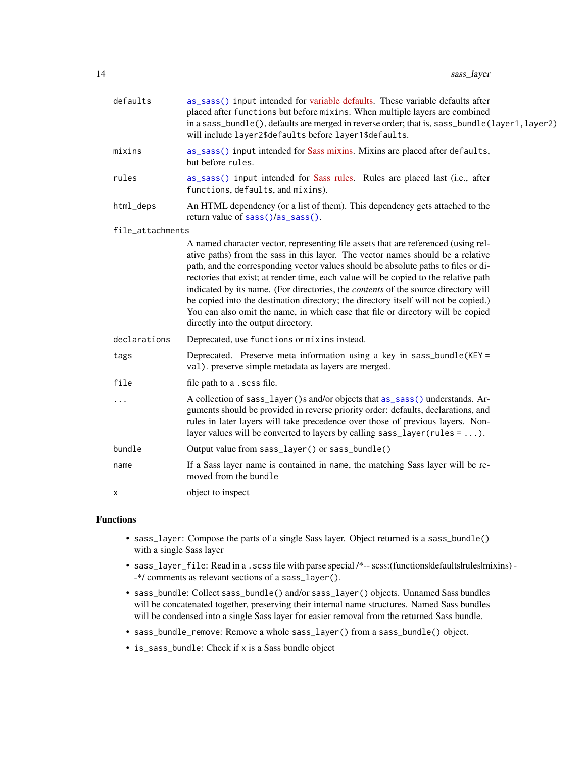<span id="page-13-0"></span>

| defaults         | as_sass() input intended for variable defaults. These variable defaults after<br>placed after functions but before mixins. When multiple layers are combined<br>in a sass_bundle(), defaults are merged in reverse order; that is, sass_bundle(layer1, layer2)<br>will include layer2\$defaults before layer1\$defaults.                  |
|------------------|-------------------------------------------------------------------------------------------------------------------------------------------------------------------------------------------------------------------------------------------------------------------------------------------------------------------------------------------|
| mixins           | as_sass() input intended for Sass mixins. Mixins are placed after defaults,<br>but before rules.                                                                                                                                                                                                                                          |
| rules            | as_sass() input intended for Sass rules. Rules are placed last (i.e., after<br>functions, defaults, and mixins).                                                                                                                                                                                                                          |
| html_deps        | An HTML dependency (or a list of them). This dependency gets attached to the<br>return value of sass()/as_sass().                                                                                                                                                                                                                         |
| file_attachments |                                                                                                                                                                                                                                                                                                                                           |
|                  | A named character vector, representing file assets that are referenced (using rel-<br>ative paths) from the sass in this layer. The vector names should be a relative<br>path, and the corresponding vector values should be absolute paths to files or di-                                                                               |
|                  | rectories that exist; at render time, each value will be copied to the relative path<br>indicated by its name. (For directories, the <i>contents</i> of the source directory will                                                                                                                                                         |
|                  | be copied into the destination directory; the directory itself will not be copied.)                                                                                                                                                                                                                                                       |
|                  | You can also omit the name, in which case that file or directory will be copied<br>directly into the output directory.                                                                                                                                                                                                                    |
| declarations     | Deprecated, use functions or mixins instead.                                                                                                                                                                                                                                                                                              |
| tags             | Deprecated. Preserve meta information using a key in sass_bundle(KEY =<br>val). preserve simple metadata as layers are merged.                                                                                                                                                                                                            |
| file             | file path to a .scss file.                                                                                                                                                                                                                                                                                                                |
| .                | A collection of sass_layer()s and/or objects that as_sass() understands. Ar-<br>guments should be provided in reverse priority order: defaults, declarations, and<br>rules in later layers will take precedence over those of previous layers. Non-<br>layer values will be converted to layers by calling sass_layer (rules = $\dots$ ). |
| bundle           | Output value from sass_layer() or sass_bundle()                                                                                                                                                                                                                                                                                           |
| name             | If a Sass layer name is contained in name, the matching Sass layer will be re-<br>moved from the bundle                                                                                                                                                                                                                                   |
| х                | object to inspect                                                                                                                                                                                                                                                                                                                         |
|                  |                                                                                                                                                                                                                                                                                                                                           |

## Functions

- sass\_layer: Compose the parts of a single Sass layer. Object returned is a sass\_bundle() with a single Sass layer
- sass\_layer\_file: Read in a . scss file with parse special /\*-- scss:(functions|defaults|rules|mixins) --\*/ comments as relevant sections of a sass\_layer().
- sass\_bundle: Collect sass\_bundle() and/or sass\_layer() objects. Unnamed Sass bundles will be concatenated together, preserving their internal name structures. Named Sass bundles will be condensed into a single Sass layer for easier removal from the returned Sass bundle.
- sass\_bundle\_remove: Remove a whole sass\_layer() from a sass\_bundle() object.
- is\_sass\_bundle: Check if x is a Sass bundle object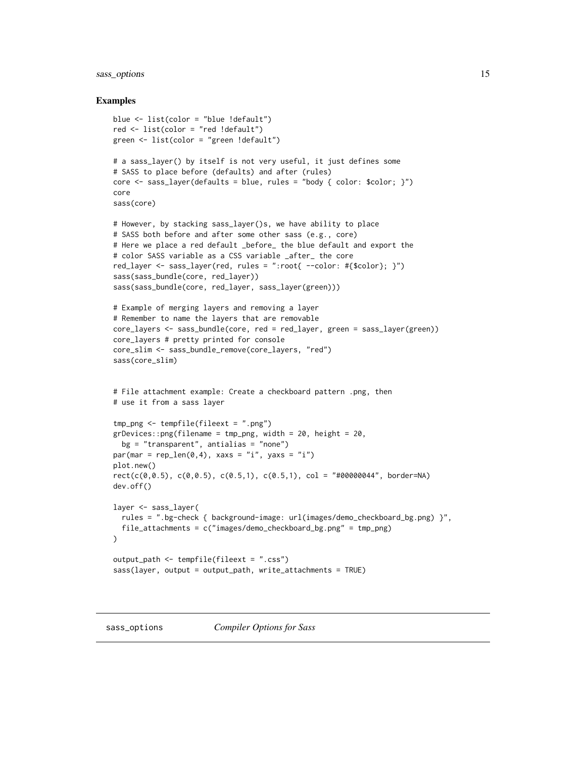#### <span id="page-14-0"></span>sass\_options 15

```
blue <- list(color = "blue !default")
red <- list(color = "red !default")
green <- list(color = "green !default")
# a sass_layer() by itself is not very useful, it just defines some
# SASS to place before (defaults) and after (rules)
core \leq sass_layer(defaults = blue, rules = "body { color: $color; }")
core
sass(core)
# However, by stacking sass_layer()s, we have ability to place
# SASS both before and after some other sass (e.g., core)
# Here we place a red default _before_ the blue default and export the
# color SASS variable as a CSS variable _after_ the core
red_layer <- sass_layer(red, rules = ":root{ --color: #{$color}; }")
sass(sass_bundle(core, red_layer))
sass(sass_bundle(core, red_layer, sass_layer(green)))
# Example of merging layers and removing a layer
# Remember to name the layers that are removable
core_layers <- sass_bundle(core, red = red_layer, green = sass_layer(green))
core_layers # pretty printed for console
core_slim <- sass_bundle_remove(core_layers, "red")
sass(core_slim)
# File attachment example: Create a checkboard pattern .png, then
# use it from a sass layer
tmp_png <- tempfile(fileext = ".png")
grDevices::png(filename = tmp_png, width = 20, height = 20,bg = "transparent", antialias = "none")par(max = rep\_len(0, 4), xaxs = "i", yaxs = "i")plot.new()
rect(c(\emptyset, 0.5), c(\emptyset, 0.5), c(\emptyset.5, 1), c(\emptyset.5, 1), col = "#00000044", border=NA)dev.off()
layer <- sass_layer(
  rules = ".bg-check { background-image: url(images/demo_checkboard_bg.png) }",
  file_attachments = c("images/demo_checkboard_bg.png" = tmp_png)
\lambdaoutput_path <- tempfile(fileext = ".css")
sass(layer, output = output_path, write_attachments = TRUE)
```
<span id="page-14-1"></span>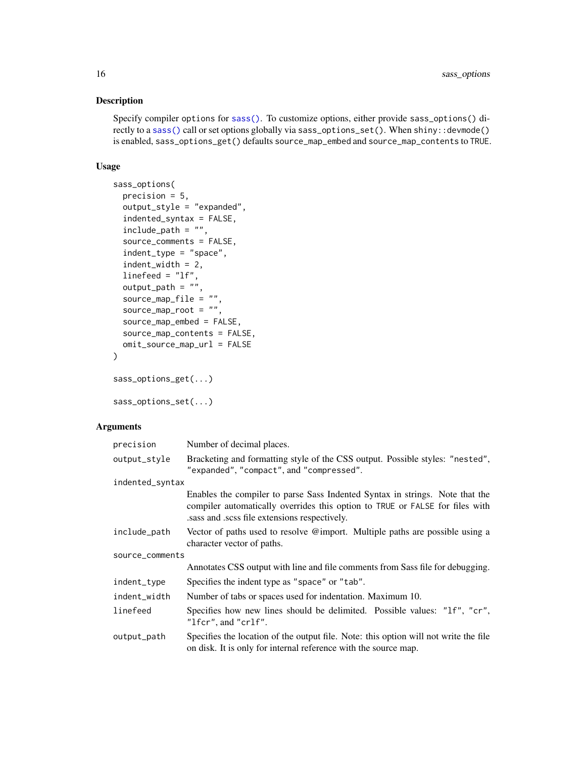## Description

Specify compiler options for [sass\(\)](#page-7-1). To customize options, either provide sass\_options() directly to a [sass\(\)](#page-7-1) call or set options globally via sass\_options\_set(). When shiny::devmode() is enabled, sass\_options\_get() defaults source\_map\_embed and source\_map\_contents to TRUE.

#### Usage

```
sass_options(
 precision = 5,
 output_style = "expanded",
  indented_syntax = FALSE,
  include_path = "",
  source_comments = FALSE,
  indent_type = "space",
  indent_width = 2,
  linefeed = "lf",
  output<sub>-path</sub> = ",
  source_map_file = "",
 source_map\_root = "",
  source_map_embed = FALSE,
  source_map_contents = FALSE,
 omit_source_map_url = FALSE
\mathcal{L}sass_options_get(...)
```
sass\_options\_set(...)

| precision       | Number of decimal places.                                                                                                                                                                                    |
|-----------------|--------------------------------------------------------------------------------------------------------------------------------------------------------------------------------------------------------------|
| output_style    | Bracketing and formatting style of the CSS output. Possible styles: "nested",<br>"expanded", "compact", and "compressed".                                                                                    |
| indented_syntax |                                                                                                                                                                                                              |
|                 | Enables the compiler to parse Sass Indented Syntax in strings. Note that the<br>compiler automatically overrides this option to TRUE or FALSE for files with<br>sass and .scss file extensions respectively. |
| include_path    | Vector of paths used to resolve @import. Multiple paths are possible using a<br>character vector of paths.                                                                                                   |
| source_comments |                                                                                                                                                                                                              |
|                 | Annotates CSS output with line and file comments from Sass file for debugging.                                                                                                                               |
| indent_type     | Specifies the indent type as "space" or "tab".                                                                                                                                                               |
| indent_width    | Number of tabs or spaces used for indentation. Maximum 10.                                                                                                                                                   |
| linefeed        | Specifies how new lines should be delimited. Possible values: "1f", "cr",<br>"lfcr", and "crlf".                                                                                                             |
| output_path     | Specifies the location of the output file. Note: this option will not write the file<br>on disk. It is only for internal reference with the source map.                                                      |

<span id="page-15-0"></span>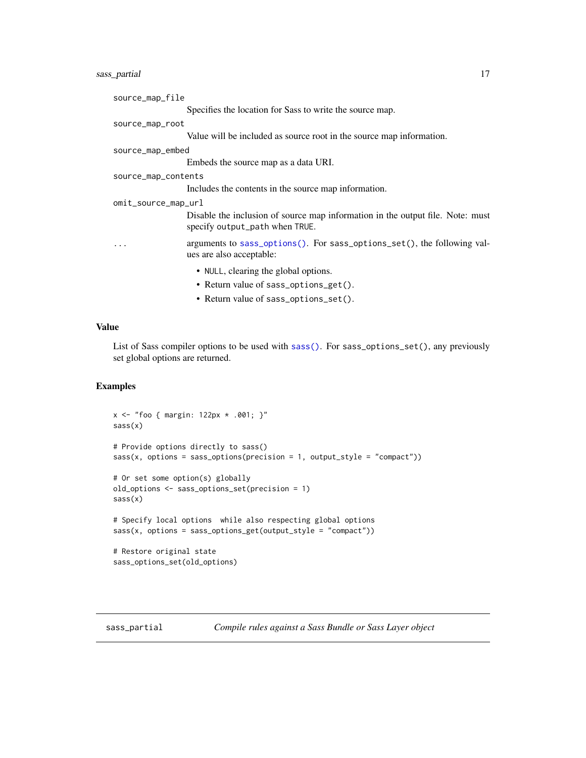## <span id="page-16-0"></span>sass\_partial 17

| source_map_file     |                                                                                                                  |
|---------------------|------------------------------------------------------------------------------------------------------------------|
|                     | Specifies the location for Sass to write the source map.                                                         |
| source_map_root     |                                                                                                                  |
|                     | Value will be included as source root in the source map information.                                             |
| source_map_embed    |                                                                                                                  |
|                     | Embeds the source map as a data URI.                                                                             |
| source_map_contents |                                                                                                                  |
|                     | Includes the contents in the source map information.                                                             |
| omit_source_map_url |                                                                                                                  |
|                     | Disable the inclusion of source map information in the output file. Note: must<br>specify output_path when TRUE. |
| $\cdot$             | arguments to sass_options(). For sass_options_set(), the following val-<br>ues are also acceptable:              |
|                     | • NULL, clearing the global options.                                                                             |
|                     | • Return value of sass_options_get().                                                                            |

• Return value of sass\_options\_set().

## Value

List of Sass compiler options to be used with [sass\(\)](#page-7-1). For sass\_options\_set(), any previously set global options are returned.

```
x <- "foo { margin: 122px * .001; }"
sass(x)
# Provide options directly to sass()
sass(x, options = sass_options(precision = 1, output_style = "compact"))
# Or set some option(s) globally
old_options <- sass_options_set(precision = 1)
sass(x)
# Specify local options while also respecting global options
sass(x, options = sass_options_get(output_style = "compact"))
# Restore original state
sass_options_set(old_options)
```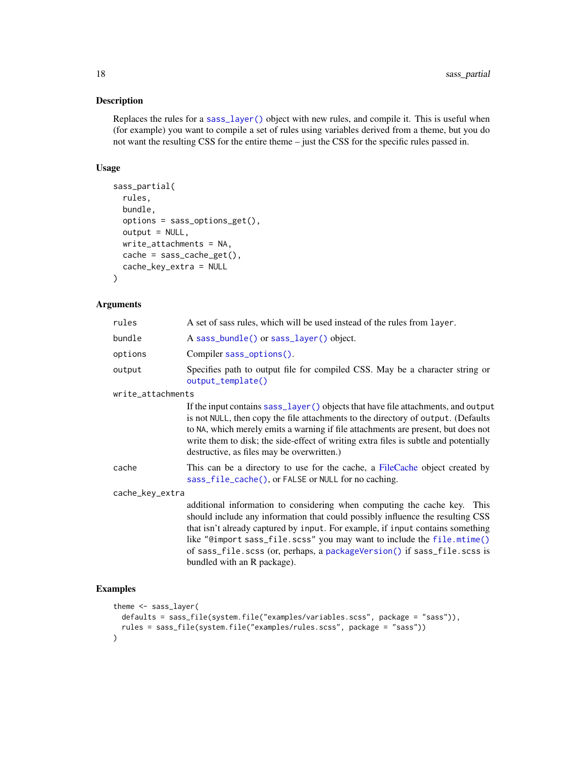## Description

Replaces the rules for a [sass\\_layer\(\)](#page-12-1) object with new rules, and compile it. This is useful when (for example) you want to compile a set of rules using variables derived from a theme, but you do not want the resulting CSS for the entire theme – just the CSS for the specific rules passed in.

## Usage

```
sass_partial(
  rules,
 bundle,
 options = sass_options_get(),
 output = NULL,write_attachments = NA,
 cache = sass_cache_get(),
  cache_key_extra = NULL
\lambda
```
#### Arguments

| rules             | A set of sass rules, which will be used instead of the rules from layer.                                                                                                                                                                                                                                                                                                                          |  |
|-------------------|---------------------------------------------------------------------------------------------------------------------------------------------------------------------------------------------------------------------------------------------------------------------------------------------------------------------------------------------------------------------------------------------------|--|
| bundle            | A sass_bundle() or sass_layer() object.                                                                                                                                                                                                                                                                                                                                                           |  |
| options           | Compiler sass_options().                                                                                                                                                                                                                                                                                                                                                                          |  |
| output            | Specifies path to output file for compiled CSS. May be a character string or<br>output_template()                                                                                                                                                                                                                                                                                                 |  |
| write_attachments |                                                                                                                                                                                                                                                                                                                                                                                                   |  |
|                   | If the input contains sass_layer() objects that have file attachments, and output<br>is not NULL, then copy the file attachments to the directory of output. (Defaults<br>to NA, which merely emits a warning if file attachments are present, but does not<br>write them to disk; the side-effect of writing extra files is subtle and potentially<br>destructive, as files may be overwritten.) |  |
| cache             | This can be a directory to use for the cache, a FileCache object created by<br>sass_file_cache(), or FALSE or NULL for no caching.                                                                                                                                                                                                                                                                |  |
| cache_key_extra   |                                                                                                                                                                                                                                                                                                                                                                                                   |  |
|                   | additional information to considering when computing the cache key.<br>This<br>should include any information that could possibly influence the resulting CSS<br>that isn't already captured by input. For example, if input contains something<br>like "@import sass_file.scss" you may want to include the file.mtime()                                                                         |  |

of sass\_file.scss (or, perhaps, a [packageVersion\(\)](#page-0-0) if sass\_file.scss is

## Examples

```
theme <- sass_layer(
  defaults = sass_file(system.file("examples/variables.scss", package = "sass")),
  rules = sass_file(system.file("examples/rules.scss", package = "sass"))
)
```
bundled with an R package).

<span id="page-17-0"></span>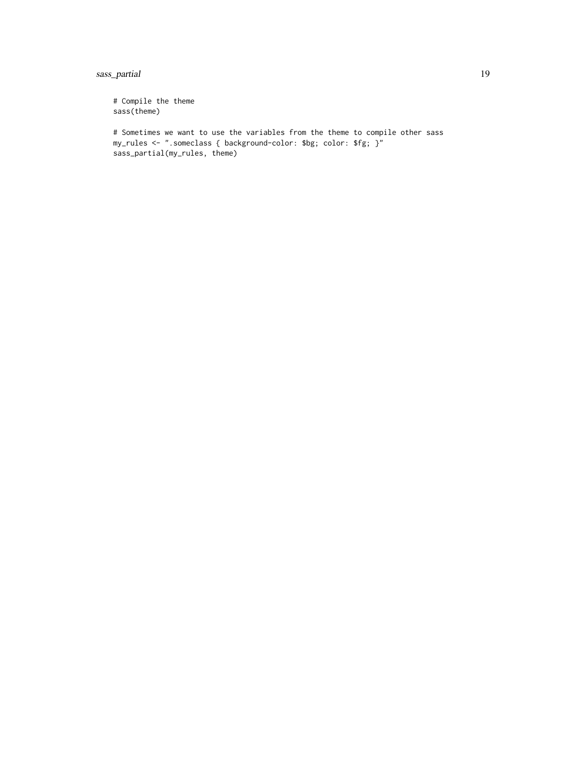## sass\_partial 19

# Compile the theme sass(theme)

# Sometimes we want to use the variables from the theme to compile other sass my\_rules <- ".someclass { background-color: \$bg; color: \$fg; }" sass\_partial(my\_rules, theme)